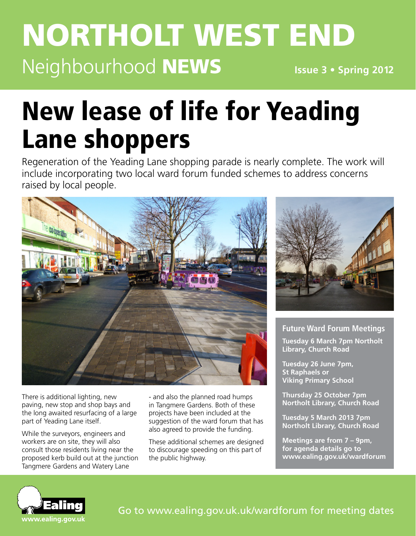## **Issue 3 • Spring 2012** Northolt West End Neighbourhood NEWS

## New lease of life for Yeading Lane shoppers

Regeneration of the Yeading Lane shopping parade is nearly complete. The work will include incorporating two local ward forum funded schemes to address concerns raised by local people.



There is additional lighting, new paving, new stop and shop bays and the long awaited resurfacing of a large part of Yeading Lane itself.

While the surveyors, engineers and workers are on site, they will also consult those residents living near the proposed kerb build out at the junction Tangmere Gardens and Watery Lane

- and also the planned road humps in Tangmere Gardens. Both of these projects have been included at the suggestion of the ward forum that has also agreed to provide the funding.

These additional schemes are designed to discourage speeding on this part of the public highway.



#### **Future Ward Forum Meetings**

**Tuesday 6 March 7pm Northolt Library, Church Road**

**Tuesday 26 June 7pm, St Raphaels or Viking Primary School**

**Thursday 25 October 7pm Northolt Library, Church Road**

**Tuesday 5 March 2013 7pm Northolt Library, Church Road**

**Meetings are from 7 – 9pm, for agenda details go to www.ealing.gov.uk/wardforum**



Go to www.ealing.gov.uk.uk/wardforum for meeting dates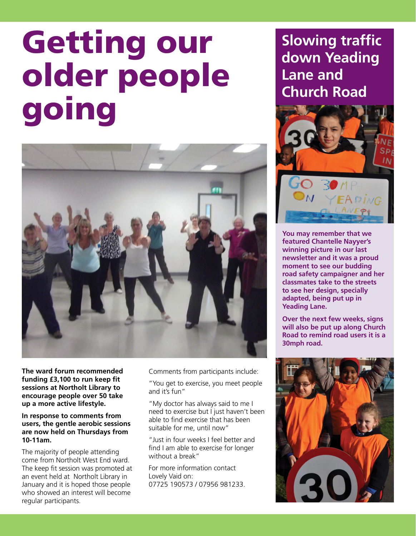# Getting our older people going



**The ward forum recommended funding £3,100 to run keep fit sessions at Northolt Library to encourage people over 50 take up a more active lifestyle.**

**In response to comments from users, the gentle aerobic sessions are now held on Thursdays from 10-11am.**

The majority of people attending come from Northolt West End ward. The keep fit session was promoted at an event held at Northolt Library in January and it is hoped those people who showed an interest will become regular participants.

Comments from participants include:

"You get to exercise, you meet people and it's fun"

"My doctor has always said to me I need to exercise but I just haven't been able to find exercise that has been suitable for me, until now"

"Just in four weeks I feel better and find I am able to exercise for longer without a break"

For more information contact Lovely Vaid on: 07725 190573 / 07956 981233.

## **Slowing traffic down Yeading Lane and Church Road**



**You may remember that we featured Chantelle Nayyer's winning picture in our last newsletter and it was a proud moment to see our budding road safety campaigner and her classmates take to the streets to see her design, specially adapted, being put up in Yeading Lane.**

**Over the next few weeks, signs will also be put up along Church Road to remind road users it is a 30mph road.**

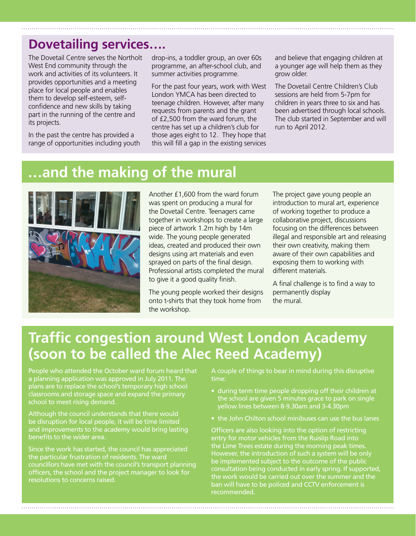## **Dovetailing services….**

The Dovetail Centre serves the Northolt West End community through the work and activities of its volunteers. It provides opportunities and a meeting place for local people and enables them to develop self-esteem, selfconfidence and new skills by taking part in the running of the centre and its projects.

In the past the centre has provided a range of opportunities including youth

drop-ins, a toddler group, an over 60s programme, an after-school club, and summer activities programme.

For the past four years, work with West London YMCA has been directed to teenage children. However, after many requests from parents and the grant of £2,500 from the ward forum, the centre has set up a children's club for those ages eight to 12. They hope that this will fill a gap in the existing services and believe that engaging children at a younger age will help them as they grow older.

The Dovetail Centre Children's Club sessions are held from 5-7pm for children in years three to six and has been advertised through local schools. The club started in September and will run to April 2012.

## **…and the making of the mural**



Another £1,600 from the ward forum was spent on producing a mural for the Dovetail Centre. Teenagers came together in workshops to create a large piece of artwork 1.2m high by 14m wide. The young people generated ideas, created and produced their own designs using art materials and even sprayed on parts of the final design. Professional artists completed the mural to give it a good quality finish.

The young people worked their designs onto t-shirts that they took home from the workshop.

The project gave young people an introduction to mural art, experience of working together to produce a collaborative project, discussions focusing on the differences between illegal and responsible art and releasing their own creativity, making them aware of their own capabilities and exposing them to working with different materials.

A final challenge is to find a way to permanently display the mural.

## **Traffic congestion around West London Academy (soon to be called the Alec Reed Academy)**

People who attended the October ward forum heard that a planning application was approved in July 2011. The plans are to replace the school's temporary high school classrooms and storage space and expand the primary school to meet rising demand.

Although the council understands that there would be disruption for local people, it will be time limited and improvements to the academy would bring lasting benefits to the wider area.

Since the work has started, the council has appreciated officers, the school and the project manager to look for resolutions to concerns raised.

A couple of things to bear in mind during this disruptive

- during term time people dropping off their children at the school are given 5 minutes grace to park on single yellow lines between 8-9.30am and 3-4.30pm
- the John Chilton school minibuses can use the bus lanes

Officers are also looking into the option of restricting the Lime Trees estate during the morning peak times. be implemented subject to the outcome of the public consultation being conducted in early spring. If supported, the work would be carried out over the summer and the ban will have to be policed and CCTV enforcement is recommended.